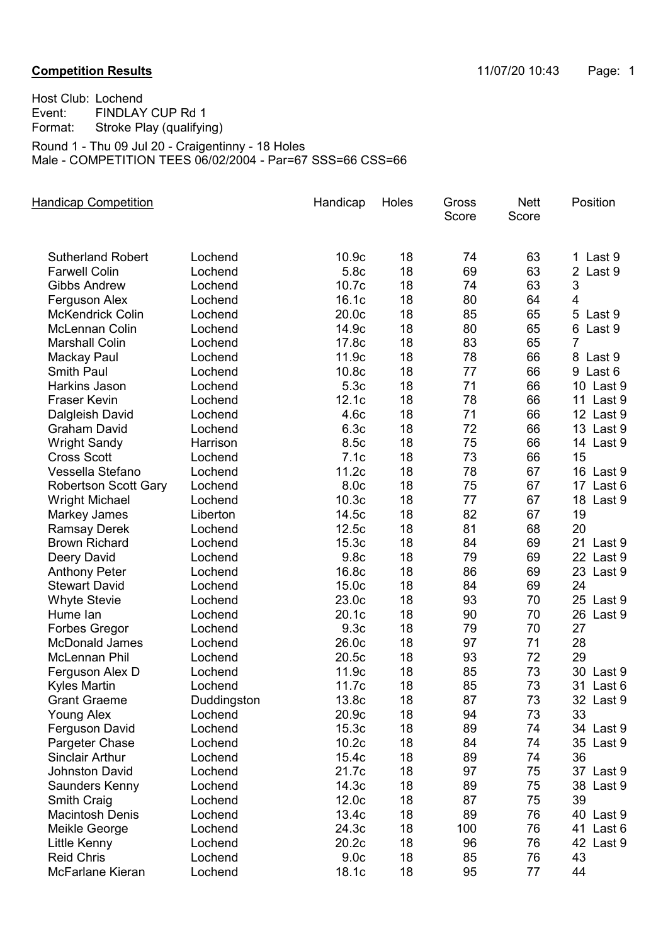Host Club: Lochend<br>Event: FINDLAY Event: FINDLAY CUP Rd 1<br>Format: Stroke Play (qualifyir Stroke Play (qualifying) Round 1 - Thu 09 Jul 20 - Craigentinny - 18 Holes

Male - COMPETITION TEES 06/02/2004 - Par=67 SSS=66 CSS=66

| <b>Handicap Competition</b> |             | Handicap          | Holes | Gross<br>Score | <b>Nett</b><br>Score | Position       |
|-----------------------------|-------------|-------------------|-------|----------------|----------------------|----------------|
| <b>Sutherland Robert</b>    | Lochend     | 10.9 <sub>c</sub> | 18    | 74             | 63                   | 1 Last 9       |
| <b>Farwell Colin</b>        | Lochend     | 5.8c              | 18    | 69             | 63                   | 2 Last 9       |
| <b>Gibbs Andrew</b>         | Lochend     | 10.7c             | 18    | 74             | 63                   | 3              |
| Ferguson Alex               | Lochend     | 16.1c             | 18    | 80             | 64                   | $\overline{4}$ |
| <b>McKendrick Colin</b>     | Lochend     | 20.0c             | 18    | 85             | 65                   | 5 Last 9       |
| <b>McLennan Colin</b>       | Lochend     | 14.9c             | 18    | 80             | 65                   | 6 Last 9       |
| <b>Marshall Colin</b>       | Lochend     | 17.8c             | 18    | 83             | 65                   | $\overline{7}$ |
| Mackay Paul                 | Lochend     | 11.9c             | 18    | 78             | 66                   | 8 Last 9       |
| <b>Smith Paul</b>           | Lochend     | 10.8 <sub>c</sub> | 18    | 77             | 66                   | 9 Last 6       |
| Harkins Jason               | Lochend     | 5.3c              | 18    | 71             | 66                   | 10 Last 9      |
| <b>Fraser Kevin</b>         | Lochend     | 12.1c             | 18    | 78             | 66                   | 11 Last 9      |
| Dalgleish David             | Lochend     | 4.6c              | 18    | 71             | 66                   | 12 Last 9      |
| <b>Graham David</b>         | Lochend     | 6.3c              | 18    | 72             | 66                   | 13 Last 9      |
| <b>Wright Sandy</b>         | Harrison    | 8.5c              | 18    | 75             | 66                   | 14 Last 9      |
| <b>Cross Scott</b>          | Lochend     | 7.1c              | 18    | 73             | 66                   | 15             |
| Vessella Stefano            | Lochend     | 11.2c             | 18    | 78             | 67                   | 16 Last 9      |
| <b>Robertson Scott Gary</b> | Lochend     | 8.0c              | 18    | 75             | 67                   | 17 Last 6      |
| <b>Wright Michael</b>       | Lochend     | 10.3 <sub>c</sub> | 18    | 77             | 67                   | 18 Last 9      |
| Markey James                | Liberton    | 14.5c             | 18    | 82             | 67                   | 19             |
| <b>Ramsay Derek</b>         | Lochend     | 12.5c             | 18    | 81             | 68                   | 20             |
| <b>Brown Richard</b>        | Lochend     | 15.3c             | 18    | 84             | 69                   | 21 Last 9      |
| Deery David                 | Lochend     | 9.8c              | 18    | 79             | 69                   | 22 Last 9      |
| <b>Anthony Peter</b>        | Lochend     | 16.8c             | 18    | 86             | 69                   | 23 Last 9      |
| <b>Stewart David</b>        | Lochend     | 15.0c             | 18    | 84             | 69                   | 24             |
| <b>Whyte Stevie</b>         | Lochend     | 23.0c             | 18    | 93             | 70                   | 25 Last 9      |
| Hume lan                    | Lochend     | 20.1c             | 18    | 90             | 70                   | 26 Last 9      |
| <b>Forbes Gregor</b>        | Lochend     | 9.3 <sub>c</sub>  | 18    | 79             | 70                   | 27             |
| <b>McDonald James</b>       | Lochend     | 26.0c             | 18    | 97             | 71                   | 28             |
| McLennan Phil               | Lochend     | 20.5c             | 18    | 93             | 72                   | 29             |
| Ferguson Alex D             | Lochend     | 11.9c             | 18    | 85             | 73                   | 30 Last 9      |
| <b>Kyles Martin</b>         | Lochend     | 11.7c             | 18    | 85             | 73                   | 31 Last 6      |
| <b>Grant Graeme</b>         | Duddingston | 13.8c             | 18    | 87             | 73                   | 32 Last 9      |
| <b>Young Alex</b>           | Lochend     | 20.9c             | 18    | 94             | 73                   | 33             |
| Ferguson David              | Lochend     | 15.3c             | 18    | 89             | 74                   | 34 Last 9      |
| Pargeter Chase              | Lochend     | 10.2c             | 18    | 84             | 74                   | 35 Last 9      |
| <b>Sinclair Arthur</b>      | Lochend     | 15.4c             | 18    | 89             | 74                   | 36             |
| <b>Johnston David</b>       | Lochend     | 21.7c             | 18    | 97             | 75                   | 37 Last 9      |
| Saunders Kenny              | Lochend     | 14.3c             | 18    | 89             | 75                   | 38 Last 9      |
| <b>Smith Craig</b>          | Lochend     | 12.0c             | 18    | 87             | 75                   | 39             |
| <b>Macintosh Denis</b>      | Lochend     | 13.4c             | 18    | 89             | 76                   | 40 Last 9      |
| Meikle George               | Lochend     | 24.3c             | 18    | 100            | 76                   | 41 Last 6      |
| Little Kenny                | Lochend     | 20.2c             | 18    | 96             | 76                   | 42 Last 9      |
| <b>Reid Chris</b>           | Lochend     | 9.0 <sub>c</sub>  | 18    | 85             | 76                   | 43             |
| McFarlane Kieran            | Lochend     | 18.1c             | 18    | 95             | 77                   | 44             |